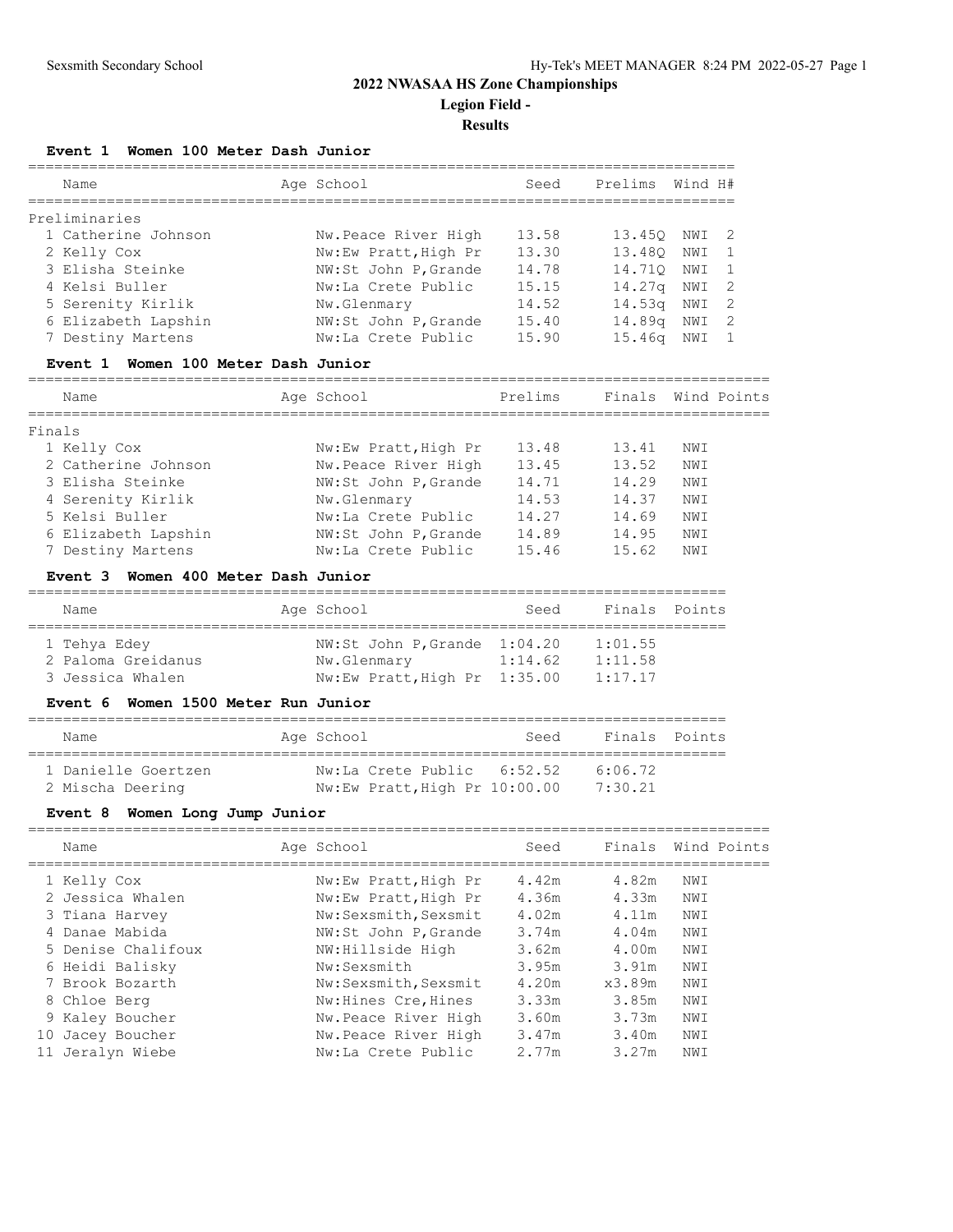# **2022 NWASAA HS Zone Championships Legion Field -**

## **Results**

## **Event 1 Women 100 Meter Dash Junior**

| Name                | Age School           | Seed  | Prelims Wind H#    |     |                |
|---------------------|----------------------|-------|--------------------|-----|----------------|
| Preliminaries       |                      |       |                    |     |                |
| 1 Catherine Johnson | Nw.Peace River High  | 13.58 | 13.450             | NWI | - 2            |
| 2 Kelly Cox         | Nw:Ew Pratt, High Pr | 13.30 | 13.480             | NWI | $\overline{1}$ |
| 3 Elisha Steinke    | NW:St John P, Grande | 14.78 | 14.710             | NWI | $\overline{1}$ |
| 4 Kelsi Buller      | Nw:La Crete Public   | 15.15 | 14.27 <sub>q</sub> | NWI | -2             |
| 5 Serenity Kirlik   | Nw.Glenmary          | 14.52 | 14.53 <sub>q</sub> | NWI | -2             |
| 6 Elizabeth Lapshin | NW:St John P, Grande | 15.40 | 14.89 <sub>q</sub> | NWI | -2             |
| 7 Destiny Martens   | Nw:La Crete Public   | 15.90 | 15.46 <sub>q</sub> | NWI |                |

## **Event 1 Women 100 Meter Dash Junior**

=====================================================================================

| Name                | Age School           | Prelims | Finals Wind Points |     |  |
|---------------------|----------------------|---------|--------------------|-----|--|
| Finals              |                      |         |                    |     |  |
| 1 Kelly Cox         | Nw:Ew Pratt, High Pr | 13.48   | 13.41              | NWI |  |
| 2 Catherine Johnson | Nw.Peace River High  | 13.45   | 13.52              | NWI |  |
| 3 Elisha Steinke    | NW:St John P, Grande | 14.71   | 14.29              | NWI |  |
| 4 Serenity Kirlik   | Nw.Glenmary          | 14.53   | 14.37              | NWI |  |
| 5 Kelsi Buller      | Nw:La Crete Public   | 14.27   | 14.69              | NWI |  |
| 6 Elizabeth Lapshin | NW:St John P, Grande | 14.89   | 14.95              | NWI |  |
| 7 Destiny Martens   | Nw:La Crete Public   | 15.46   | 15.62              | NWI |  |

## **Event 3 Women 400 Meter Dash Junior**

| Name |                                                        |             | Seed       |                                                              |               |  |  |  |  |  |  |
|------|--------------------------------------------------------|-------------|------------|--------------------------------------------------------------|---------------|--|--|--|--|--|--|
|      |                                                        |             |            |                                                              |               |  |  |  |  |  |  |
|      |                                                        |             |            | 1:01.55                                                      |               |  |  |  |  |  |  |
|      |                                                        | Nw.Glenmary | 1:14.62    | 1:11.58                                                      |               |  |  |  |  |  |  |
|      |                                                        |             |            | 1:17.17                                                      |               |  |  |  |  |  |  |
|      | 1 Tehya Edey<br>2 Paloma Greidanus<br>3 Jessica Whalen |             | Age School | NW:St John P. Grande 1:04.20<br>Nw:Ew Pratt, High Pr 1:35.00 | Finals Points |  |  |  |  |  |  |

## **Event 6 Women 1500 Meter Run Junior**

| Name                                    | Age School                                                  | Seed | Finals Points      |  |
|-----------------------------------------|-------------------------------------------------------------|------|--------------------|--|
| 1 Danielle Goertzen<br>2 Mischa Deering | Nw:La Crete Public 6:52.52<br>Nw:Ew Pratt, High Pr 10:00.00 |      | 6:06.72<br>7:30.21 |  |

## **Event 8 Women Long Jump Junior**

| Name          |                                                                                                                                                                                              |                      | Seed       | Finals |     | Wind Points |
|---------------|----------------------------------------------------------------------------------------------------------------------------------------------------------------------------------------------|----------------------|------------|--------|-----|-------------|
|               |                                                                                                                                                                                              | Nw:Ew Pratt, High Pr | 4.42m      | 4.82m  | NWI |             |
|               |                                                                                                                                                                                              | Nw:Ew Pratt, High Pr | 4.36m      | 4.33m  | NWI |             |
|               |                                                                                                                                                                                              | Nw:Sexsmith, Sexsmit | 4.02m      | 4.11m  | NWI |             |
|               |                                                                                                                                                                                              | NW:St John P, Grande | 3.74m      | 4.04m  | NWI |             |
|               |                                                                                                                                                                                              | NW:Hillside High     | 3.62m      | 4.00m  | NWI |             |
|               |                                                                                                                                                                                              | Nw:Sexsmith          | 3.95m      | 3.91m  | NWI |             |
|               |                                                                                                                                                                                              | Nw:Sexsmith, Sexsmit | 4.20m      | x3.89m | NWI |             |
|               |                                                                                                                                                                                              | Nw: Hines Cre, Hines | 3.33m      | 3.85m  | NWI |             |
|               |                                                                                                                                                                                              | Nw.Peace River High  | 3.60m      | 3.73m  | NWI |             |
| Jacey Boucher |                                                                                                                                                                                              | Nw.Peace River High  | 3.47m      | 3.40m  | NWI |             |
|               |                                                                                                                                                                                              | Nw:La Crete Public   | 2.77m      | 3.27m  | NWI |             |
|               | 1 Kelly Cox<br>2 Jessica Whalen<br>3 Tiana Harvey<br>4 Danae Mabida<br>5 Denise Chalifoux<br>6 Heidi Balisky<br>7 Brook Bozarth<br>8 Chloe Berg<br>9 Kaley Boucher<br>10<br>11 Jeralyn Wiebe |                      | Age School |        |     |             |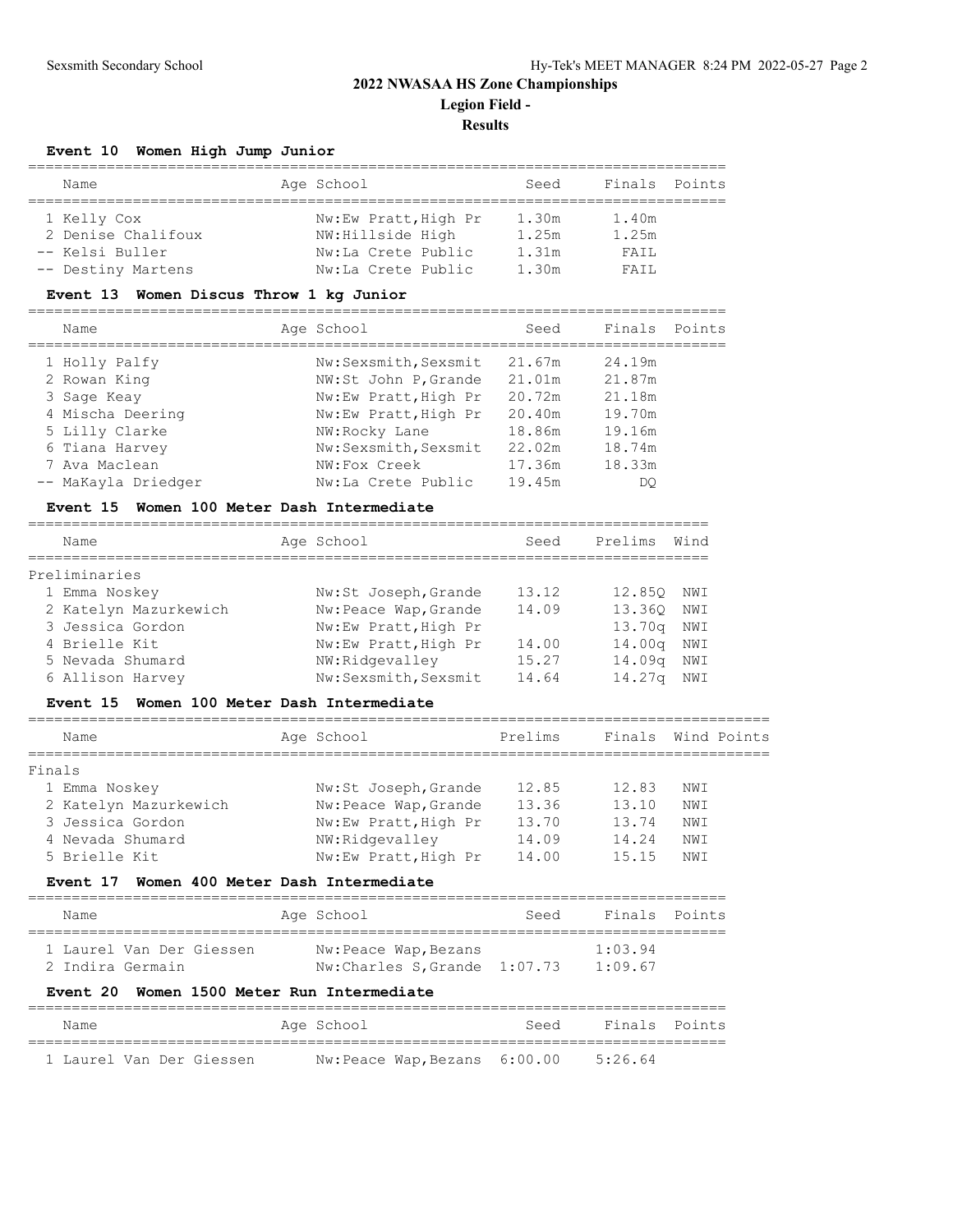## **2022 NWASAA HS Zone Championships Legion Field - Results**

## **Event 10 Women High Jump Junior**

| Name               | Age School           | Seed  | Finals Points |  |
|--------------------|----------------------|-------|---------------|--|
|                    |                      |       |               |  |
| 1 Kelly Cox        | Nw:Ew Pratt, High Pr | 1.30m | 1.40m         |  |
| 2 Denise Chalifoux | NW:Hillside High     | 1.25m | 1.25m         |  |
| -- Kelsi Buller    | Nw:La Crete Public   | 1.31m | FATI.         |  |
| -- Destiny Martens | Nw:La Crete Public   | 1.30m | FATL          |  |

## **Event 13 Women Discus Throw 1 kg Junior**

| Name                | Age School           | Seed   | Finals | Points |
|---------------------|----------------------|--------|--------|--------|
| 1 Holly Palfy       | Nw:Sexsmith, Sexsmit | 21.67m | 24.19m |        |
| 2 Rowan King        | NW:St John P, Grande | 21.01m | 21.87m |        |
| 3 Sage Keay         | Nw:Ew Pratt, High Pr | 20.72m | 21.18m |        |
| 4 Mischa Deering    | Nw:Ew Pratt, High Pr | 20.40m | 19.70m |        |
| 5 Lilly Clarke      | NW:Rocky Lane        | 18.86m | 19.16m |        |
| 6 Tiana Harvey      | Nw:Sexsmith, Sexsmit | 22.02m | 18.74m |        |
| 7 Ava Maclean       | NW:Fox Creek         | 17.36m | 18.33m |        |
| -- MaKayla Driedger | Nw:La Crete Public   | 19.45m | DO     |        |

## **Event 15 Women 100 Meter Dash Intermediate**

| Name                  | Age School            | Seed  | Prelims            | Wind |
|-----------------------|-----------------------|-------|--------------------|------|
| Preliminaries         |                       |       |                    |      |
| 1 Emma Noskey         | Nw:St Joseph, Grande  | 13.12 | 12.850             | NWI  |
| 2 Katelyn Mazurkewich | Nw: Peace Wap, Grande | 14.09 | 13.360             | NWI  |
| 3 Jessica Gordon      | Nw:Ew Pratt, High Pr  |       | 13.70q             | NWI  |
| 4 Brielle Kit         | Nw:Ew Pratt, High Pr  | 14.00 | 14.00 <sub>q</sub> | NWI  |
| 5 Nevada Shumard      | NW:Ridgevalley        | 15.27 | 14.09 <sub>q</sub> | NWI  |
| 6 Allison Harvey      | Nw:Sexsmith, Sexsmit  | 14.64 | 14.27 <sub>q</sub> | NWI  |

## **Event 15 Women 100 Meter Dash Intermediate**

| Name                  | Age School            | Prelims |       | Finals Wind Points |
|-----------------------|-----------------------|---------|-------|--------------------|
| Finals                |                       |         |       |                    |
| 1 Emma Noskey         | Nw:St Joseph, Grande  | 12.85   | 12.83 | NWI                |
| 2 Katelyn Mazurkewich | Nw: Peace Wap, Grande | 13.36   | 13.10 | NWI                |
| 3 Jessica Gordon      | Nw:Ew Pratt, High Pr  | 13.70   | 13.74 | NWI                |
| 4 Nevada Shumard      | NW:Ridgevalley        | 14.09   | 14.24 | NWI                |
| 5 Brielle Kit         | Nw:Ew Pratt, High Pr  | 14.00   | 15.15 | NWI                |
|                       |                       |         |       |                    |

## **Event 17 Women 400 Meter Dash Intermediate**

| Name                     | Age School                   | Seed | Finals Points |  |
|--------------------------|------------------------------|------|---------------|--|
| 1 Laurel Van Der Giessen | Nw: Peace Wap, Bezans        |      | 1:03.94       |  |
| 2 Indira Germain         | Nw:Charles S, Grande 1:07.73 |      | 1:09.67       |  |

## **Event 20 Women 1500 Meter Run Intermediate**

| Name                     | Age School                  | Seed | Finals Points |  |  |  |  |  |  |  |
|--------------------------|-----------------------------|------|---------------|--|--|--|--|--|--|--|
| 1 Laurel Van Der Giessen |                             |      | 5:26.64       |  |  |  |  |  |  |  |
|                          | Nw:Peace Wap,Bezans 6:00.00 |      |               |  |  |  |  |  |  |  |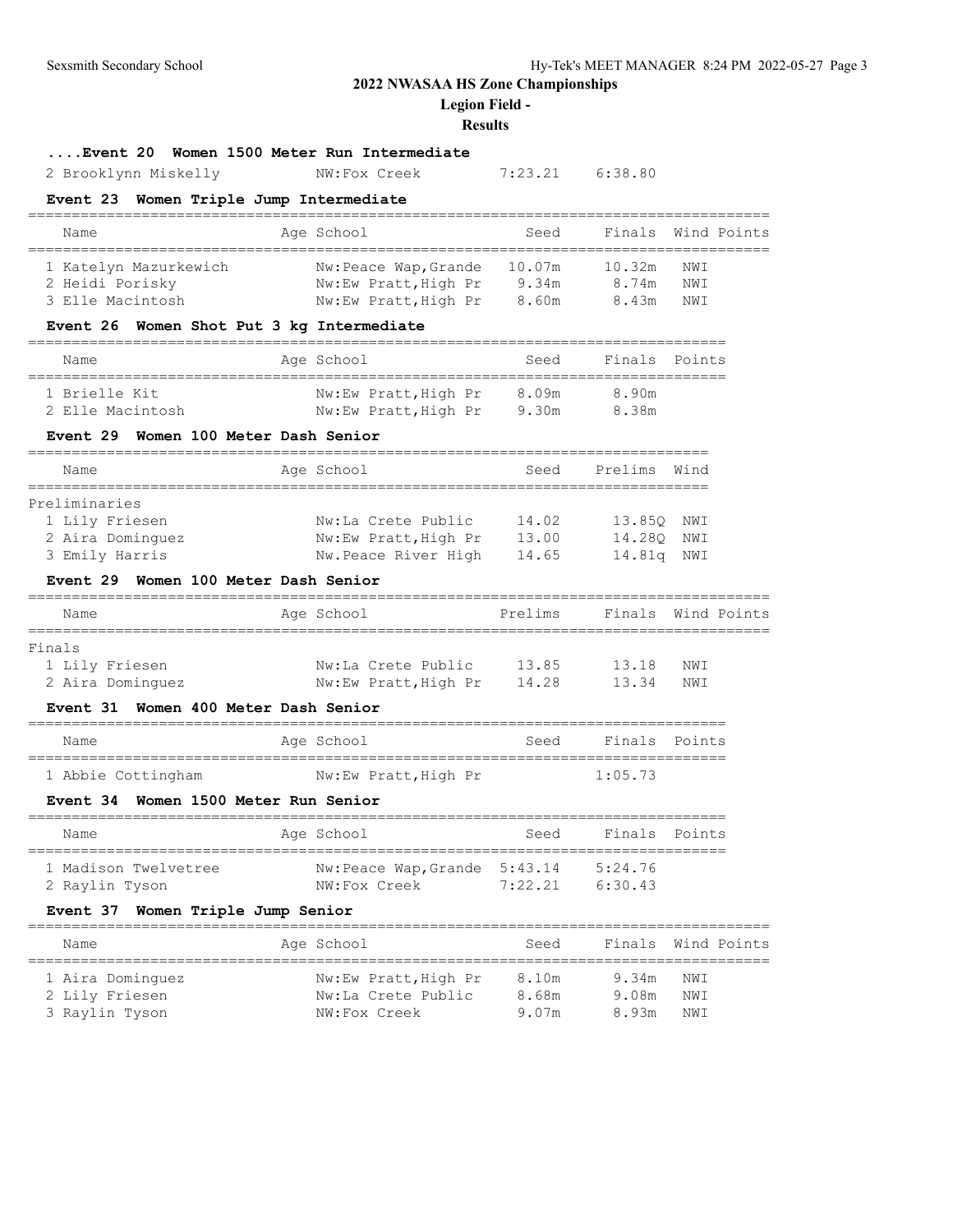**Legion Field -**

### **Results**

## **....Event 20 Women 1500 Meter Run Intermediate**

2 Brooklynn Miskelly NW:Fox Creek 7:23.21 6:38.80

## **Event 23 Women Triple Jump Intermediate**

| Name                                                         | Age School                                                            | Seed                     |                          | Finals Wind Points |
|--------------------------------------------------------------|-----------------------------------------------------------------------|--------------------------|--------------------------|--------------------|
| 1 Katelyn Mazurkewich<br>2 Heidi Porisky<br>3 Elle Macintosh | Nw: Peace Wap, Grande<br>Nw:Ew Pratt, High Pr<br>Nw:Ew Pratt, High Pr | 10.07m<br>9.34m<br>8.60m | 10.32m<br>8.74m<br>8.43m | NWI<br>NWI<br>NWI  |

## **Event 26 Women Shot Put 3 kg Intermediate**

| Name             | Age School           | Seed  | Finals Points |
|------------------|----------------------|-------|---------------|
| 1 Brielle Kit    | Nw:Ew Pratt, High Pr | 8.09m | 8.90m         |
| 2 Elle Macintosh | Nw:Ew Pratt, High Pr | 9.30m | 8.38m         |

### **Event 29 Women 100 Meter Dash Senior**

| Name             | Age School           | Seed  | Prelims | Wind |
|------------------|----------------------|-------|---------|------|
|                  |                      |       |         |      |
| Preliminaries    |                      |       |         |      |
| 1 Lily Friesen   | Nw:La Crete Public   | 14.02 | 13.850  | NWI  |
| 2 Aira Dominquez | Nw:Ew Pratt, High Pr | 13.00 | 14.280  | NWI  |
| 3 Emily Harris   | Nw.Peace River High  | 14.65 | 14.81a  | NWI  |

## **Event 29 Women 100 Meter Dash Senior**

| Name             | Age School           | Prelims |       | Finals Wind Points |
|------------------|----------------------|---------|-------|--------------------|
|                  |                      |         |       |                    |
| Finals           |                      |         |       |                    |
| 1 Lily Friesen   | Nw:La Crete Public   | 13.85   | 13.18 | NWI                |
| 2 Aira Dominquez | Nw:Ew Pratt, High Pr | 14.28   | 13.34 | NWI                |

### **Event 31 Women 400 Meter Dash Senior**

| Name               | Age School           | Seed | Finals Points |  |
|--------------------|----------------------|------|---------------|--|
|                    |                      |      |               |  |
| 1 Abbie Cottingham | Nw:Ew Pratt, High Pr |      | 1:05.73       |  |

#### **Event 34 Women 1500 Meter Run Senior**

| Name                                   | Age School                                   | Seed            | Finals Points     |  |
|----------------------------------------|----------------------------------------------|-----------------|-------------------|--|
| 1 Madison Twelvetree<br>2 Raylin Tyson | Nw:Peace Wap, Grande 5:43.14<br>NW:Fox Creek | $7 \cdot 22$ 21 | 5:24.76<br>6.3043 |  |

## **Event 37 Women Triple Jump Senior**

| Name                                                 | Age School                                                 | Seed                    |                         | Finals Wind Points |
|------------------------------------------------------|------------------------------------------------------------|-------------------------|-------------------------|--------------------|
| 1 Aira Dominquez<br>2 Lily Friesen<br>3 Raylin Tyson | Nw:Ew Pratt, High Pr<br>Nw:La Crete Public<br>NW:Fox Creek | 8.10m<br>8.68m<br>9.07m | 9.34m<br>9.08m<br>8.93m | NWI<br>NWI<br>NWI  |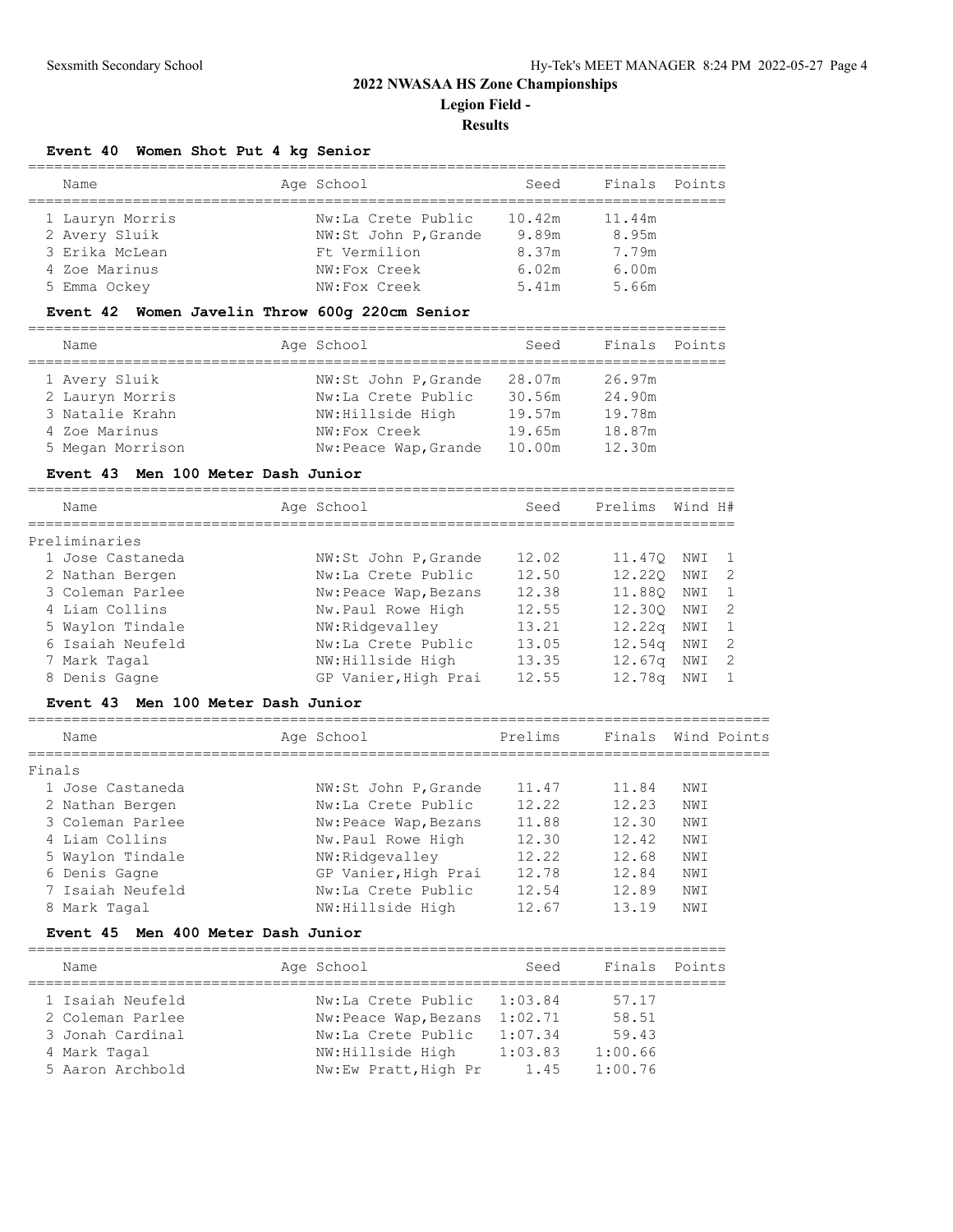## **2022 NWASAA HS Zone Championships Legion Field - Results**

### **Event 40 Women Shot Put 4 kg Senior**

| Name            | Age School           | Seed   | Finals | Points |
|-----------------|----------------------|--------|--------|--------|
|                 |                      |        |        |        |
| 1 Lauryn Morris | Nw:La Crete Public   | 10.42m | 11.44m |        |
| 2 Avery Sluik   | NW:St John P, Grande | 9.89m  | 8.95m  |        |
| 3 Erika McLean  | Ft Vermilion         | 8.37m  | 7.79m  |        |
| 4 Zoe Marinus   | NW:Fox Creek         | 6.02m  | 6.00m  |        |
| 5 Emma Ockey    | NW:Fox Creek         | 5.41m  | 5.66m  |        |

#### **Event 42 Women Javelin Throw 600g 220cm Senior**

================================================================================

| Name             | Age School           | Seed   | Finals Points |  |
|------------------|----------------------|--------|---------------|--|
| 1 Avery Sluik    | NW:St John P, Grande | 28.07m | 26.97m        |  |
| 2 Lauryn Morris  | Nw:La Crete Public   | 30.56m | 24.90m        |  |
| 3 Natalie Krahn  | NW:Hillside High     | 19.57m | 19.78m        |  |
| 4 Zoe Marinus    | NW:Fox Creek         | 19.65m | 18.87m        |  |
| 5 Megan Morrison | Nw:Peace Wap, Grande | 10.00m | 12.30m        |  |

#### **Event 43 Men 100 Meter Dash Junior**

| Name             |                       | Seed       | Prelims | Wind H# |     |
|------------------|-----------------------|------------|---------|---------|-----|
| Preliminaries    |                       |            |         |         |     |
| 1 Jose Castaneda | NW:St John P, Grande  | 12.02      | 11.470  | NWI     |     |
| 2 Nathan Bergen  | Nw:La Crete Public    | 12.50      | 12,220  | NWI     | - 2 |
| 3 Coleman Parlee | Nw: Peace Wap, Bezans | 12.38      | 11.880  | NWI     |     |
| 4 Liam Collins   | Nw.Paul Rowe High     | 12.55      | 12.300  | NWI     | -2  |
| 5 Waylon Tindale | NW:Ridgevalley        | 13.21      | 12.22q  | NWI     |     |
| 6 Isaiah Neufeld | Nw:La Crete Public    | 13.05      | 12.54q  | NWI     | -2  |
| 7 Mark Tagal     | NW: Hillside High     | 13.35      | 12.67q  | NWI     | 2   |
| 8 Denis Gagne    | GP Vanier, High Prai  | 12.55      | 12.78q  | NWI     |     |
|                  |                       | Age School |         |         |     |

## **Event 43 Men 100 Meter Dash Junior**

| Name             | Age School            | Prelims |       | Finals Wind Points |
|------------------|-----------------------|---------|-------|--------------------|
| Finals           |                       |         |       |                    |
| 1 Jose Castaneda | NW:St John P, Grande  | 11.47   | 11.84 | NWI                |
| 2 Nathan Bergen  | Nw:La Crete Public    | 12.22   | 12.23 | NWI                |
| 3 Coleman Parlee | Nw: Peace Wap, Bezans | 11.88   | 12.30 | NWI                |
| 4 Liam Collins   | Nw.Paul Rowe High     | 12.30   | 12.42 | NWI                |
| 5 Waylon Tindale | NW:Ridgevalley        | 12.22   | 12.68 | NWI                |
| 6 Denis Gagne    | GP Vanier, High Prai  | 12.78   | 12.84 | NWI                |
| 7 Isaiah Neufeld | Nw:La Crete Public    | 12.54   | 12.89 | NWI                |
| 8 Mark Tagal     | NW:Hillside High      | 12.67   | 13.19 | NW I               |

### **Event 45 Men 400 Meter Dash Junior**

================================================================================ Name **Age School** Seed Finals Points ================================================================================ 1 Isaiah Neufeld Nw:La Crete Public 1:03.84 57.17 2 Coleman Parlee Nw:Peace Wap,Bezans 1:02.71 58.51 3 Jonah Cardinal Nw:La Crete Public 1:07.34 59.43 4 Mark Tagal NW:Hillside High 1:03.83 1:00.66 5 Aaron Archbold Nw:Ew Pratt,High Pr 1.45 1:00.76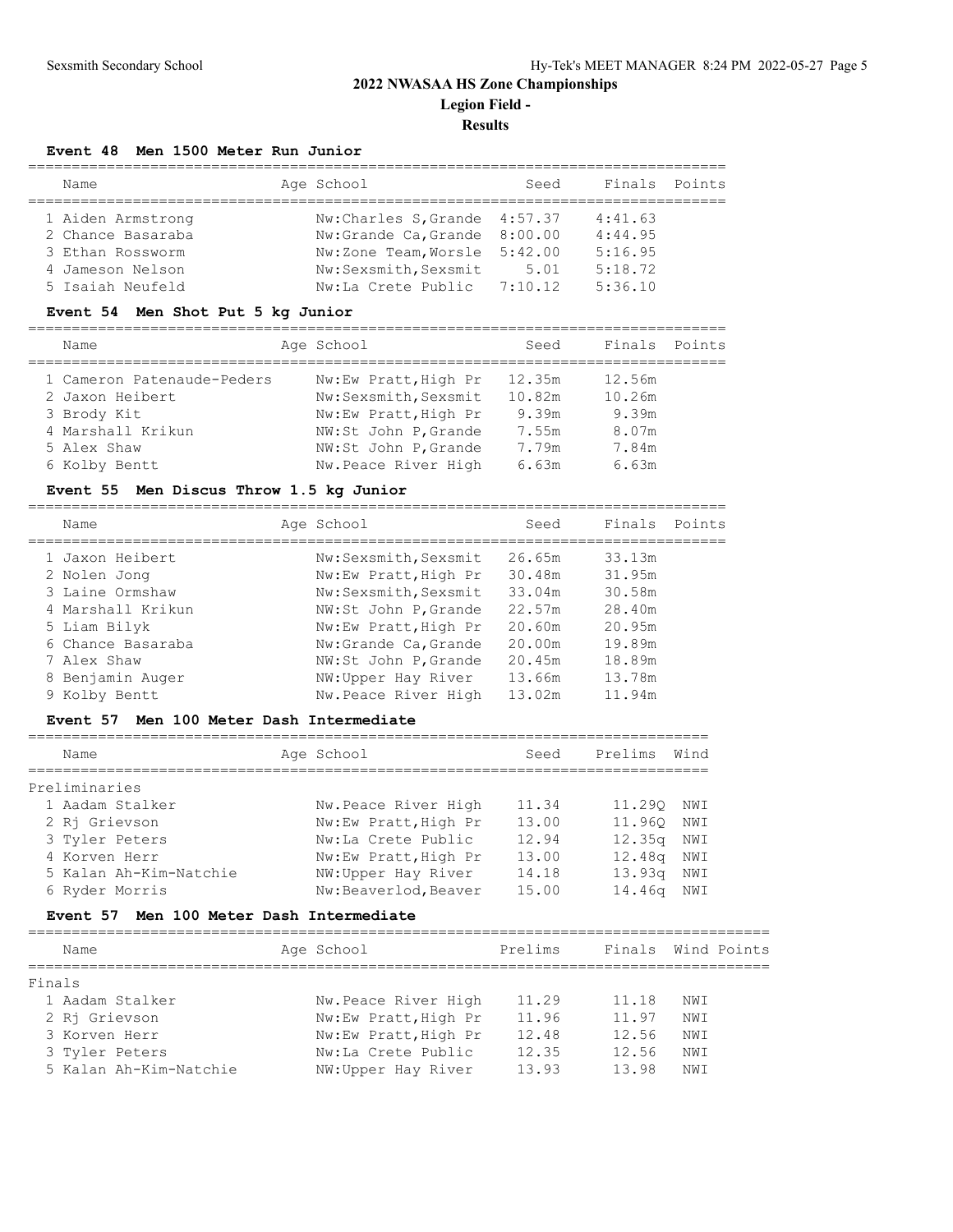## **2022 NWASAA HS Zone Championships Legion Field -**

**Results**

## **Event 48 Men 1500 Meter Run Junior**

| Name              | Age School                   | Seed | Finals Points |  |
|-------------------|------------------------------|------|---------------|--|
| 1 Aiden Armstrong | Nw:Charles S.Grande 4:57.37  |      | 4:41.63       |  |
| 2 Chance Basaraba | Nw:Grande Ca, Grande 8:00.00 |      | 4:44.95       |  |
| 3 Ethan Rossworm  | Nw:Zone Team, Worsle 5:42.00 |      | 5:16.95       |  |
| 4 Jameson Nelson  | Nw:Sexsmith, Sexsmit         | 5.01 | 5:18.72       |  |
| 5 Isaiah Neufeld  | Nw:La Crete Public 7:10.12   |      | 5:36.10       |  |

### **Event 54 Men Shot Put 5 kg Junior**

================================================================================

| Name                       | Age School           | Seed   | Finals Points |  |
|----------------------------|----------------------|--------|---------------|--|
| 1 Cameron Patenaude-Peders | Nw:Ew Pratt, High Pr | 12.35m | 12.56m        |  |
| 2 Jaxon Heibert            | Nw:Sexsmith, Sexsmit | 10.82m | 10.26m        |  |
| 3 Brody Kit                | Nw:Ew Pratt, High Pr | 9.39m  | 9.39m         |  |
| 4 Marshall Krikun          | NW:St John P, Grande | 7.55m  | 8.07m         |  |
| 5 Alex Shaw                | NW:St John P, Grande | 7.79m  | 7.84m         |  |
| 6 Kolby Bentt              | Nw.Peace River High  | 6.63m  | 6.63m         |  |
|                            |                      |        |               |  |

## **Event 55 Men Discus Throw 1.5 kg Junior**

================================================================================

| Name              | Age School           | Seed   | Finals | Points |
|-------------------|----------------------|--------|--------|--------|
| 1 Jaxon Heibert   | Nw:Sexsmith, Sexsmit | 26.65m | 33.13m |        |
| 2 Nolen Jong      | Nw:Ew Pratt, High Pr | 30.48m | 31.95m |        |
| 3 Laine Ormshaw   | Nw:Sexsmith, Sexsmit | 33.04m | 30.58m |        |
| 4 Marshall Krikun | NW:St John P, Grande | 22.57m | 28.40m |        |
| 5 Liam Bilyk      | Nw:Ew Pratt, High Pr | 20.60m | 20.95m |        |
| 6 Chance Basaraba | Nw:Grande Ca, Grande | 20.00m | 19.89m |        |
| 7 Alex Shaw       | NW:St John P, Grande | 20.45m | 18.89m |        |
| 8 Benjamin Auger  | NW: Upper Hay River  | 13.66m | 13.78m |        |
| 9 Kolby Bentt     | Nw.Peace River High  | 13.02m | 11.94m |        |

## **Event 57 Men 100 Meter Dash Intermediate**

| Name                   | Age School           | Seed  | Prelims            | Wind |
|------------------------|----------------------|-------|--------------------|------|
| Preliminaries          |                      |       |                    |      |
| 1 Aadam Stalker        | Nw. Peace River High | 11.34 | 11,290             | NWI  |
| 2 Ri Grievson          | Nw:Ew Pratt, High Pr | 13.00 | 11,960 NWI         |      |
| 3 Tyler Peters         | Nw:La Crete Public   | 12.94 | 12.35 <sub>q</sub> | NWI  |
| 4 Korven Herr          | Nw:Ew Pratt, High Pr | 13.00 | 12.48 <sub>q</sub> | NWI  |
| 5 Kalan Ah-Kim-Natchie | NW: Upper Hay River  | 14.18 | 13.93q             | NWI  |
| 6 Ryder Morris         | Nw:Beaverlod, Beaver | 15.00 | 14.46q             | NWI  |

## **Event 57 Men 100 Meter Dash Intermediate**

| Name                   | Age School           | Prelims | Finals Wind Points |     |  |
|------------------------|----------------------|---------|--------------------|-----|--|
| Finals                 |                      |         |                    |     |  |
| 1 Aadam Stalker        | Nw. Peace River High | 11.29   | 11.18              | NWI |  |
| 2 Ri Grievson          | Nw:Ew Pratt, High Pr | 11.96   | 11.97              | NWI |  |
| 3 Korven Herr          | Nw:Ew Pratt, High Pr | 12.48   | 12.56              | NWI |  |
| 3 Tyler Peters         | Nw:La Crete Public   | 12.35   | 12.56              | NWI |  |
| 5 Kalan Ah-Kim-Natchie | NW: Upper Hay River  | 13.93   | 13.98              | NWI |  |
|                        |                      |         |                    |     |  |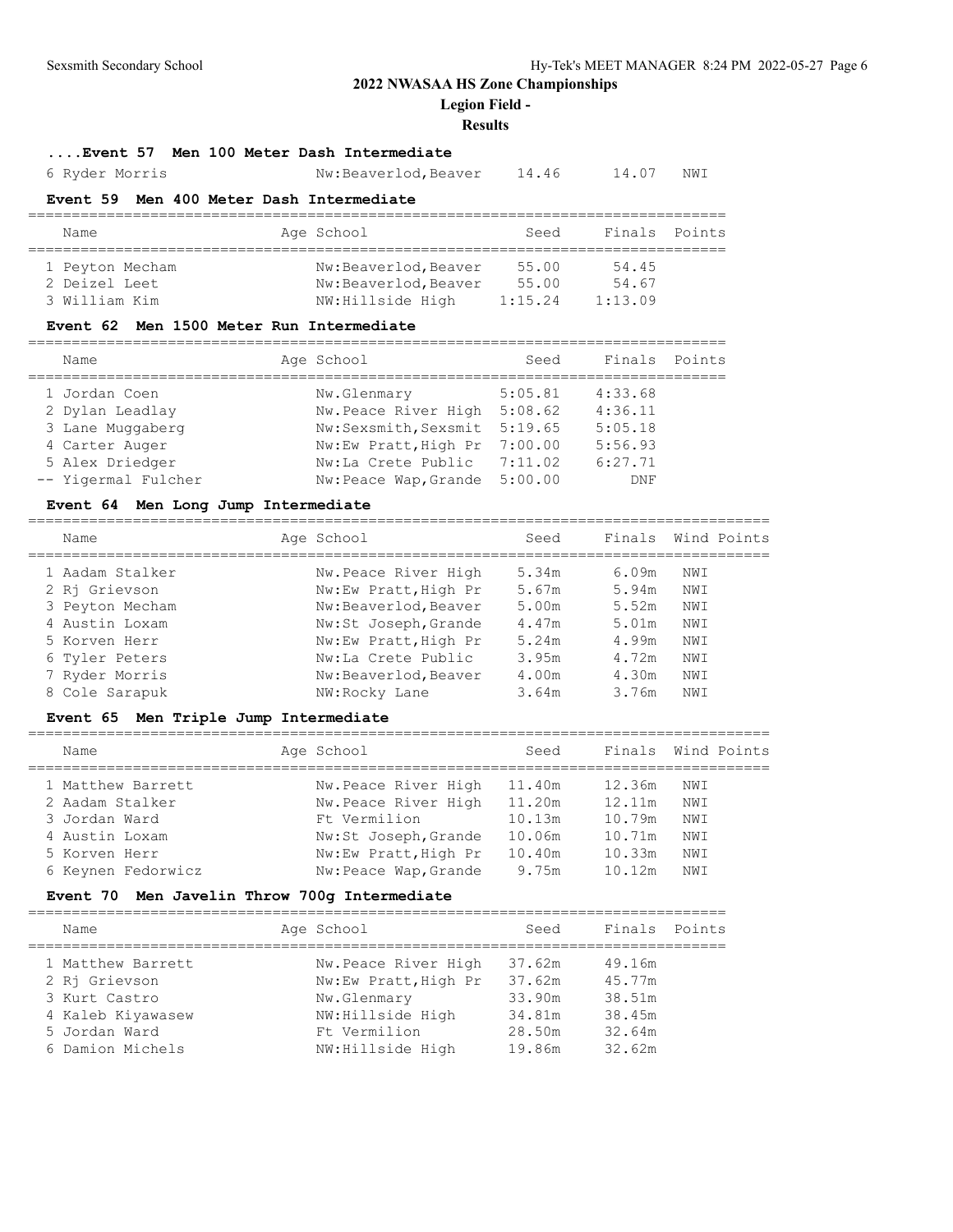**Legion Field -**

#### **Results**

================================================================================

## **....Event 57 Men 100 Meter Dash Intermediate**

6 Ryder Morris Nw:Beaverlod,Beaver 14.46 14.07 NWI

#### **Event 59 Men 400 Meter Dash Intermediate**

| Name                                              | Age School                                                        | Seed                      | Finals Points             |  |
|---------------------------------------------------|-------------------------------------------------------------------|---------------------------|---------------------------|--|
| 1 Peyton Mecham<br>2 Deizel Leet<br>3 William Kim | Nw:Beaverlod, Beaver<br>Nw:Beaverlod, Beaver<br>NW: Hillside High | 55.00<br>55.00<br>1:15.24 | 54.45<br>54.67<br>1:13.09 |  |

### **Event 62 Men 1500 Meter Run Intermediate**

| Name                                                                   | Age School                                                                                                  | Seed    | Finals Points                            |  |
|------------------------------------------------------------------------|-------------------------------------------------------------------------------------------------------------|---------|------------------------------------------|--|
| 1 Jordan Coen<br>2 Dylan Leadlay<br>3 Lane Muggaberg<br>4 Carter Auger | Nw.Glenmary<br>Nw. Peace River High 5:08.62<br>Nw:Sexsmith, Sexsmit 5:19.65<br>Nw:Ew Pratt, High Pr 7:00.00 | 5:05.81 | 4:33.68<br>4:36.11<br>5:05.18<br>5:56.93 |  |
| 5 Alex Driedger<br>-- Yigermal Fulcher                                 | Nw:La Crete Public 7:11.02<br>Nw:Peace Wap, Grande 5:00.00                                                  |         | 6:27.71<br>DNF                           |  |

### **Event 64 Men Long Jump Intermediate**

=====================================================================================

| Name            | Age School |                      | Seed  | Finals Wind Points |     |  |
|-----------------|------------|----------------------|-------|--------------------|-----|--|
| 1 Aadam Stalker |            | Nw.Peace River High  | 5.34m | 6.09m              | NWI |  |
| 2 Ri Grievson   |            | Nw:Ew Pratt, High Pr | 5.67m | 5.94m              | NWI |  |
| 3 Peyton Mecham |            | Nw:Beaverlod, Beaver | 5.00m | 5.52m              | NWI |  |
| 4 Austin Loxam  |            | Nw:St Joseph, Grande | 4.47m | 5.01m              | NWI |  |
| 5 Korven Herr   |            | Nw:Ew Pratt, High Pr | 5.24m | 4.99m              | NWI |  |
| 6 Tyler Peters  |            | Nw:La Crete Public   | 3.95m | 4.72m              | NWI |  |
| 7 Ryder Morris  |            | Nw:Beaverlod, Beaver | 4.00m | 4.30m              | NWI |  |
| 8 Cole Sarapuk  |            | NW:Rocky Lane        | 3.64m | 3.76m              | NWI |  |

### **Event 65 Men Triple Jump Intermediate**

| Name                                             | Age School                                    | Seed                       | Finals Wind Points         |            |  |
|--------------------------------------------------|-----------------------------------------------|----------------------------|----------------------------|------------|--|
| 1 Matthew Barrett<br>2 Aadam Stalker             | Nw.Peace River High<br>Nw.Peace River High    | 11.40m<br>11.20m           | 12.36m<br>12.11m           | NWI<br>NWI |  |
| 3 Jordan Ward<br>4 Austin Loxam<br>5 Korven Herr | Ft Vermilion<br>Nw:St Joseph, Grande          | 10.13m<br>10.06m<br>10.40m | 10.79m<br>10.71m<br>10.33m | NWI<br>NWI |  |
| 6 Keynen Fedorwicz                               | Nw:Ew Pratt, High Pr<br>Nw: Peace Wap, Grande | 9.75m                      | 10.12m                     | NWI<br>NWI |  |

### **Event 70 Men Javelin Throw 700g Intermediate**

================================================================================ Age School Seed Finals Points ================================================================================ 1 Matthew Barrett Nw.Peace River High 37.62m 49.16m 2 Rj Grievson Nw:Ew Pratt,High Pr 37.62m 45.77m 3 Kurt Castro Nw.Glenmary 33.90m 38.51m 4 Kaleb Kiyawasew NW:Hillside High 34.81m 38.45m 5 Jordan Ward Ft Vermilion 28.50m 32.64m 6 Damion Michels NW:Hillside High 19.86m 32.62m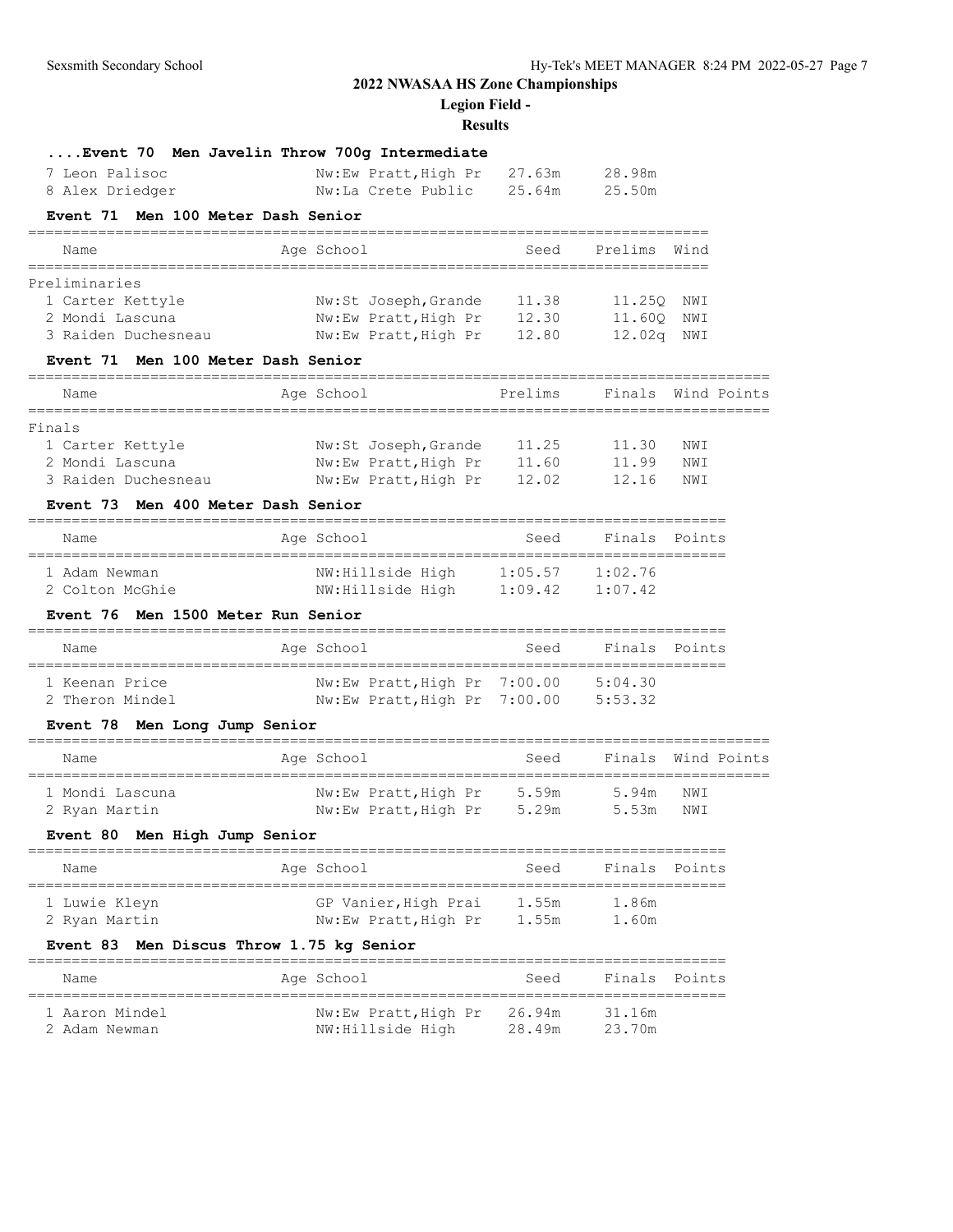**Legion Field -**

# **Results**

|                                              | Event 70 Men Javelin Throw 700g Intermediate |         |                                          |                    |
|----------------------------------------------|----------------------------------------------|---------|------------------------------------------|--------------------|
| 7 Leon Palisoc                               | Nw:Ew Pratt, High Pr                         | 27.63m  | 28.98m                                   |                    |
| 8 Alex Driedger                              | Nw:La Crete Public                           | 25.64m  | 25.50m                                   |                    |
| Men 100 Meter Dash Senior<br><b>Event 71</b> |                                              |         |                                          |                    |
| Name<br>====================                 | Age School<br>===================            | Seed    | Prelims<br>_____________________________ | Wind               |
| Preliminaries                                |                                              |         |                                          |                    |
| 1 Carter Kettyle                             | Nw:St Joseph, Grande                         | 11.38   | 11.250 NWI                               |                    |
| 2 Mondi Lascuna                              | Nw:Ew Pratt, High Pr 12.30                   |         | 11.60Q                                   | NWI                |
| 3 Raiden Duchesneau                          | Nw:Ew Pratt, High Pr                         | 12.80   | 12.02q                                   | NWI                |
| Event 71 Men 100 Meter Dash Senior           |                                              |         |                                          |                    |
| Name                                         | Age School                                   | Prelims |                                          | Finals Wind Points |
| Finals                                       |                                              |         |                                          |                    |
| 1 Carter Kettyle                             | Nw:St Joseph, Grande 11.25                   |         | 11.30                                    | NWI                |
| 2 Mondi Lascuna                              | Nw:Ew Pratt, High Pr                         | 11.60   | 11.99                                    | NWI                |
| 3 Raiden Duchesneau                          | Nw:Ew Pratt, High Pr                         | 12.02   | 12.16                                    | NWI                |
| Event 73<br>Men 400 Meter Dash Senior        |                                              |         |                                          |                    |
| Name                                         | Age School                                   | Seed    | Finals Points                            |                    |
| 1 Adam Newman                                | NW: Hillside High 1:05.57 1:02.76            |         |                                          |                    |
| 2 Colton McGhie                              | NW:Hillside High                             | 1:09.42 | 1:07.42                                  |                    |
| Event 76<br><b>Men 1500 Meter Run Senior</b> |                                              |         |                                          |                    |
| Name<br>==================================== | Age School                                   | Seed    | Finals Points                            |                    |
| 1 Keenan Price                               | Nw:Ew Pratt, High Pr 7:00.00 5:04.30         |         |                                          |                    |
| 2 Theron Mindel                              | Nw:Ew Pratt, High Pr 7:00.00                 |         | 5:53.32                                  |                    |
| Event 78 Men Long Jump Senior                |                                              |         |                                          |                    |
| Name                                         | Age School                                   | Seed    |                                          | Finals Wind Points |
| 1 Mondi Lascuna                              | Nw:Ew Pratt, High Pr 5.59m                   |         | 5.94m                                    | NWI                |
| 2 Ryan Martin                                | Nw:Ew Pratt, High Pr 5.29m                   |         | 5.53m                                    | NWI                |
| Event 80 Men High Jump Senior                |                                              |         |                                          |                    |
| Name                                         | Age School                                   | Seed    |                                          | Finals Points      |
| 1 Luwie Kleyn                                | GP Vanier, High Prai                         | 1.55m   | 1.86m                                    |                    |
| 2 Ryan Martin                                | Nw:Ew Pratt, High Pr                         | 1.55m   | 1.60m                                    |                    |
| Event 83                                     | Men Discus Throw 1.75 kg Senior              |         |                                          |                    |
| Name                                         | Age School                                   | Seed    | Finals                                   | Points             |
| 1 Aaron Mindel                               | Nw:Ew Pratt, High Pr                         | 26.94m  | 31.16m                                   |                    |
| 2 Adam Newman                                | NW: Hillside High                            | 28.49m  | 23.70m                                   |                    |